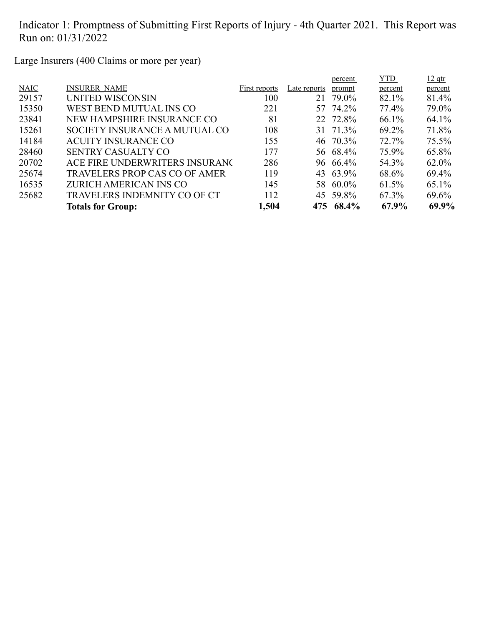Large Insurers (400 Claims or more per year)

| <b>INSURER NAME</b><br><b>NAIC</b><br>First reports<br>Late reports<br>percent<br>prompt<br>percent<br>29157<br>82.1%<br>79.0%<br>81.4%<br>UNITED WISCONSIN<br>100<br>21<br>77.4%<br>15350<br>79.0%<br>WEST BEND MUTUAL INS CO<br>57 74.2%<br>221<br>64.1%<br>23841<br>NEW HAMPSHIRE INSURANCE CO<br>22 72.8%<br>66.1%<br>81<br>71.8%<br>69.2%<br>15261<br>SOCIETY INSURANCE A MUTUAL CO<br>108<br>31 71.3%<br>75.5%<br>14184<br>72.7%<br><b>ACUITY INSURANCE CO</b><br>155<br>46 70.3%<br>75.9%<br>28460<br>65.8%<br>177<br>56 68.4%<br><b>SENTRY CASUALTY CO</b><br>20702<br>ACE FIRE UNDERWRITERS INSURANC<br>54.3%<br>286<br>96 66.4%<br>62.0%<br>25674<br>119<br><b>TRAVELERS PROP CAS CO OF AMER</b><br>43 63.9%<br>69.4%<br>68.6%<br>16535<br>ZURICH AMERICAN INS CO<br>145<br>58 60.0%<br>65.1%<br>61.5%<br>25682<br><b>TRAVELERS INDEMNITY CO OF CT</b><br>112<br>45 59.8%<br>67.3%<br>69.6%<br>1,504<br>68.4%<br>67.9%<br><b>Totals for Group:</b><br>475 |  |  | percent | <b>YTD</b> | $12$ qtr |
|---------------------------------------------------------------------------------------------------------------------------------------------------------------------------------------------------------------------------------------------------------------------------------------------------------------------------------------------------------------------------------------------------------------------------------------------------------------------------------------------------------------------------------------------------------------------------------------------------------------------------------------------------------------------------------------------------------------------------------------------------------------------------------------------------------------------------------------------------------------------------------------------------------------------------------------------------------------------|--|--|---------|------------|----------|
|                                                                                                                                                                                                                                                                                                                                                                                                                                                                                                                                                                                                                                                                                                                                                                                                                                                                                                                                                                     |  |  |         |            |          |
|                                                                                                                                                                                                                                                                                                                                                                                                                                                                                                                                                                                                                                                                                                                                                                                                                                                                                                                                                                     |  |  |         |            |          |
|                                                                                                                                                                                                                                                                                                                                                                                                                                                                                                                                                                                                                                                                                                                                                                                                                                                                                                                                                                     |  |  |         |            |          |
|                                                                                                                                                                                                                                                                                                                                                                                                                                                                                                                                                                                                                                                                                                                                                                                                                                                                                                                                                                     |  |  |         |            |          |
|                                                                                                                                                                                                                                                                                                                                                                                                                                                                                                                                                                                                                                                                                                                                                                                                                                                                                                                                                                     |  |  |         |            |          |
|                                                                                                                                                                                                                                                                                                                                                                                                                                                                                                                                                                                                                                                                                                                                                                                                                                                                                                                                                                     |  |  |         |            |          |
|                                                                                                                                                                                                                                                                                                                                                                                                                                                                                                                                                                                                                                                                                                                                                                                                                                                                                                                                                                     |  |  |         |            |          |
|                                                                                                                                                                                                                                                                                                                                                                                                                                                                                                                                                                                                                                                                                                                                                                                                                                                                                                                                                                     |  |  |         |            |          |
|                                                                                                                                                                                                                                                                                                                                                                                                                                                                                                                                                                                                                                                                                                                                                                                                                                                                                                                                                                     |  |  |         |            |          |
|                                                                                                                                                                                                                                                                                                                                                                                                                                                                                                                                                                                                                                                                                                                                                                                                                                                                                                                                                                     |  |  |         |            |          |
|                                                                                                                                                                                                                                                                                                                                                                                                                                                                                                                                                                                                                                                                                                                                                                                                                                                                                                                                                                     |  |  |         |            |          |
|                                                                                                                                                                                                                                                                                                                                                                                                                                                                                                                                                                                                                                                                                                                                                                                                                                                                                                                                                                     |  |  |         |            | 69.9%    |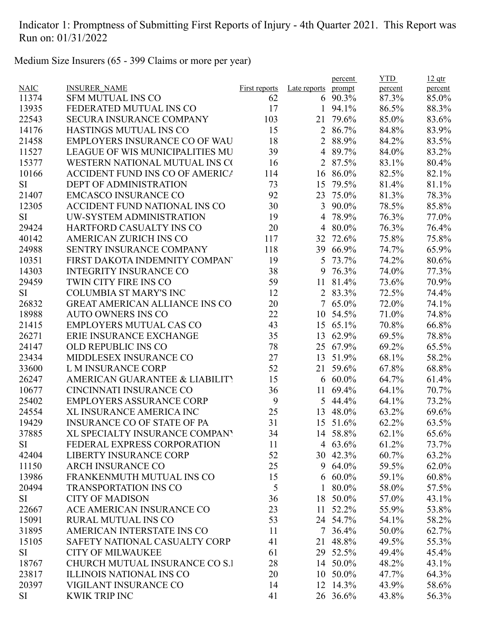Medium Size Insurers (65 - 399 Claims or more per year)

| <b>NAIC</b><br><b>INSURER NAME</b><br>Late reports<br><b>First reports</b><br>prompt<br>percent<br>percent<br>11374<br><b>SFM MUTUAL INS CO</b><br>90.3%<br>87.3%<br>85.0%<br>62<br>6<br>13935<br>FEDERATED MUTUAL INS CO<br>17<br>94.1%<br>86.5%<br>88.3%<br>1<br>22543<br><b>SECURA INSURANCE COMPANY</b><br>103<br>79.6%<br>85.0%<br>83.6%<br>21<br>15<br>14176<br><b>HASTINGS MUTUAL INS CO</b><br>$\overline{2}$<br>86.7%<br>84.8%<br>83.9%<br>18<br>21458<br><b>EMPLOYERS INSURANCE CO OF WAU</b><br>2 88.9%<br>84.2%<br>83.5%<br>39<br>83.2%<br>11527<br><b>LEAGUE OF WIS MUNICIPALITIES MU</b><br>89.7%<br>84.0%<br>4<br>15377<br>WESTERN NATIONAL MUTUAL INS CO<br>16<br>2 87.5%<br>83.1%<br>80.4%<br>10166<br><b>ACCIDENT FUND INS CO OF AMERICA</b><br>114<br>16 86.0%<br>82.5%<br>82.1%<br><b>DEPT OF ADMINISTRATION</b><br>73<br>79.5%<br>81.4%<br>81.1%<br>SI<br>15<br>21407<br>92<br>75.0%<br>78.3%<br><b>EMCASCO INSURANCE CO</b><br>23<br>81.3%<br>30<br>12305<br>ACCIDENT FUND NATIONAL INS CO<br>3<br>90.0%<br>78.5%<br>85.8%<br>UW-SYSTEM ADMINISTRATION<br>19<br>78.9%<br>76.3%<br>77.0%<br>SI<br>4<br>29424<br>HARTFORD CASUALTY INS CO<br>20<br>80.0%<br>76.3%<br>76.4%<br>4<br><b>AMERICAN ZURICH INS CO</b><br>72.6%<br>75.8%<br>75.8%<br>40142<br>117<br>32<br>24988<br><b>SENTRY INSURANCE COMPANY</b><br>118<br>39<br>66.9%<br>65.9%<br>74.7%<br>10351<br>FIRST DAKOTA INDEMNITY COMPANY<br>19<br>73.7%<br>74.2%<br>80.6%<br>5<br>38<br>14303<br><b>INTEGRITY INSURANCE CO</b><br>9<br>76.3%<br>74.0%<br>77.3%<br>29459<br>TWIN CITY FIRE INS CO<br>59<br>11<br>81.4%<br>73.6%<br>70.9%<br><b>COLUMBIA ST MARY'S INC</b><br>12<br>2 83.3%<br>74.4%<br><b>SI</b><br>72.5%<br>72.0%<br>74.1%<br>26832<br><b>GREAT AMERICAN ALLIANCE INS CO</b><br>20<br>$7\overline{ }$<br>65.0%<br>22<br>18988<br><b>AUTO OWNERS INS CO</b><br>10<br>54.5%<br>71.0%<br>74.8%<br>43<br><b>EMPLOYERS MUTUAL CAS CO</b><br>21415<br>15 65.1%<br>70.8%<br>66.8%<br>26271<br>35<br>ERIE INSURANCE EXCHANGE<br>13<br>62.9%<br>69.5%<br>78.8%<br>78<br>25 67.9%<br>24147<br>OLD REPUBLIC INS CO<br>69.2%<br>65.5%<br>27<br>58.2%<br>23434<br>MIDDLESEX INSURANCE CO<br>13<br>51.9%<br>68.1%<br>52<br>33600<br>L M INSURANCE CORP<br>59.6%<br>68.8%<br>21<br>67.8%<br>15<br>26247<br>AMERICAN GUARANTEE & LIABILITY<br>$6\,60.0\%$<br>64.7%<br>61.4%<br><b>CINCINNATI INSURANCE CO</b><br>36<br>69.4%<br>70.7%<br>10677<br>11<br>64.1%<br><b>EMPLOYERS ASSURANCE CORP</b><br>9<br>25402<br>5<br>44.4%<br>73.2%<br>64.1%<br>25<br>24554<br>48.0%<br><b>XL INSURANCE AMERICA INC</b><br>13<br>63.2%<br>69.6%<br>31<br><b>INSURANCE CO OF STATE OF PA</b><br>62.2%<br>19429<br>15 51.6%<br>63.5%<br>XL SPECIALTY INSURANCE COMPANY<br>37885<br>14 58.8%<br>62.1%<br>34<br>65.6%<br>SI<br>FEDERAL EXPRESS CORPORATION<br>11<br>4 63.6%<br>61.2%<br>73.7%<br>52<br>42404<br><b>LIBERTY INSURANCE CORP</b><br>30 42.3%<br>63.2%<br>60.7%<br><b>ARCH INSURANCE CO</b><br>25<br>9 64.0%<br>11150<br>59.5%<br>62.0%<br>15<br>13986<br>FRANKENMUTH MUTUAL INS CO<br>$6\,60.0\%$<br>60.8%<br>59.1%<br>5<br>20494<br><b>TRANSPORTATION INS CO</b><br>80.0%<br>58.0%<br>57.5%<br>1<br>36<br>SI<br><b>CITY OF MADISON</b><br>18 50.0%<br>57.0%<br>43.1%<br>23<br>22667<br>ACE AMERICAN INSURANCE CO<br>52.2%<br>55.9%<br>53.8%<br>11<br>15091<br><b>RURAL MUTUAL INS CO</b><br>53<br>24 54.7%<br>58.2%<br>54.1%<br>31895<br>AMERICAN INTERSTATE INS CO<br>11<br>50.0%<br>62.7%<br>$7\,36.4\%$<br>15105<br>SAFETY NATIONAL CASUALTY CORP<br>41<br>21 48.8%<br>49.5%<br>55.3%<br><b>CITY OF MILWAUKEE</b><br>61<br>29<br>52.5%<br>49.4%<br><b>SI</b><br>45.4%<br>18767<br>CHURCH MUTUAL INSURANCE CO S.I<br>28<br>50.0%<br>14<br>48.2%<br>43.1%<br>23817<br><b>ILLINOIS NATIONAL INS CO</b><br>20<br>10 50.0%<br>47.7%<br>64.3%<br>20397<br>VIGILANT INSURANCE CO<br>12 14.3%<br>43.9%<br>58.6%<br>14<br><b>KWIK TRIP INC</b><br>41<br>26 36.6%<br>43.8%<br>56.3%<br>SI |  |  | percent | <b>YTD</b> | $12$ qtr |
|------------------------------------------------------------------------------------------------------------------------------------------------------------------------------------------------------------------------------------------------------------------------------------------------------------------------------------------------------------------------------------------------------------------------------------------------------------------------------------------------------------------------------------------------------------------------------------------------------------------------------------------------------------------------------------------------------------------------------------------------------------------------------------------------------------------------------------------------------------------------------------------------------------------------------------------------------------------------------------------------------------------------------------------------------------------------------------------------------------------------------------------------------------------------------------------------------------------------------------------------------------------------------------------------------------------------------------------------------------------------------------------------------------------------------------------------------------------------------------------------------------------------------------------------------------------------------------------------------------------------------------------------------------------------------------------------------------------------------------------------------------------------------------------------------------------------------------------------------------------------------------------------------------------------------------------------------------------------------------------------------------------------------------------------------------------------------------------------------------------------------------------------------------------------------------------------------------------------------------------------------------------------------------------------------------------------------------------------------------------------------------------------------------------------------------------------------------------------------------------------------------------------------------------------------------------------------------------------------------------------------------------------------------------------------------------------------------------------------------------------------------------------------------------------------------------------------------------------------------------------------------------------------------------------------------------------------------------------------------------------------------------------------------------------------------------------------------------------------------------------------------------------------------------------------------------------------------------------------------------------------------------------------------------------------------------------------------------------------------------------------------------------------------------------------------------------------------------------------------------------------------------------------------------------------------------------------------------------------------------------------------------------------------------------------------------------------------------------------------------------------------------------------------------------------------------------------------------------------------------------------------------------------------------------------------------------------------|--|--|---------|------------|----------|
|                                                                                                                                                                                                                                                                                                                                                                                                                                                                                                                                                                                                                                                                                                                                                                                                                                                                                                                                                                                                                                                                                                                                                                                                                                                                                                                                                                                                                                                                                                                                                                                                                                                                                                                                                                                                                                                                                                                                                                                                                                                                                                                                                                                                                                                                                                                                                                                                                                                                                                                                                                                                                                                                                                                                                                                                                                                                                                                                                                                                                                                                                                                                                                                                                                                                                                                                                                                                                                                                                                                                                                                                                                                                                                                                                                                                                                                                                                                                                            |  |  |         |            |          |
|                                                                                                                                                                                                                                                                                                                                                                                                                                                                                                                                                                                                                                                                                                                                                                                                                                                                                                                                                                                                                                                                                                                                                                                                                                                                                                                                                                                                                                                                                                                                                                                                                                                                                                                                                                                                                                                                                                                                                                                                                                                                                                                                                                                                                                                                                                                                                                                                                                                                                                                                                                                                                                                                                                                                                                                                                                                                                                                                                                                                                                                                                                                                                                                                                                                                                                                                                                                                                                                                                                                                                                                                                                                                                                                                                                                                                                                                                                                                                            |  |  |         |            |          |
|                                                                                                                                                                                                                                                                                                                                                                                                                                                                                                                                                                                                                                                                                                                                                                                                                                                                                                                                                                                                                                                                                                                                                                                                                                                                                                                                                                                                                                                                                                                                                                                                                                                                                                                                                                                                                                                                                                                                                                                                                                                                                                                                                                                                                                                                                                                                                                                                                                                                                                                                                                                                                                                                                                                                                                                                                                                                                                                                                                                                                                                                                                                                                                                                                                                                                                                                                                                                                                                                                                                                                                                                                                                                                                                                                                                                                                                                                                                                                            |  |  |         |            |          |
|                                                                                                                                                                                                                                                                                                                                                                                                                                                                                                                                                                                                                                                                                                                                                                                                                                                                                                                                                                                                                                                                                                                                                                                                                                                                                                                                                                                                                                                                                                                                                                                                                                                                                                                                                                                                                                                                                                                                                                                                                                                                                                                                                                                                                                                                                                                                                                                                                                                                                                                                                                                                                                                                                                                                                                                                                                                                                                                                                                                                                                                                                                                                                                                                                                                                                                                                                                                                                                                                                                                                                                                                                                                                                                                                                                                                                                                                                                                                                            |  |  |         |            |          |
|                                                                                                                                                                                                                                                                                                                                                                                                                                                                                                                                                                                                                                                                                                                                                                                                                                                                                                                                                                                                                                                                                                                                                                                                                                                                                                                                                                                                                                                                                                                                                                                                                                                                                                                                                                                                                                                                                                                                                                                                                                                                                                                                                                                                                                                                                                                                                                                                                                                                                                                                                                                                                                                                                                                                                                                                                                                                                                                                                                                                                                                                                                                                                                                                                                                                                                                                                                                                                                                                                                                                                                                                                                                                                                                                                                                                                                                                                                                                                            |  |  |         |            |          |
|                                                                                                                                                                                                                                                                                                                                                                                                                                                                                                                                                                                                                                                                                                                                                                                                                                                                                                                                                                                                                                                                                                                                                                                                                                                                                                                                                                                                                                                                                                                                                                                                                                                                                                                                                                                                                                                                                                                                                                                                                                                                                                                                                                                                                                                                                                                                                                                                                                                                                                                                                                                                                                                                                                                                                                                                                                                                                                                                                                                                                                                                                                                                                                                                                                                                                                                                                                                                                                                                                                                                                                                                                                                                                                                                                                                                                                                                                                                                                            |  |  |         |            |          |
|                                                                                                                                                                                                                                                                                                                                                                                                                                                                                                                                                                                                                                                                                                                                                                                                                                                                                                                                                                                                                                                                                                                                                                                                                                                                                                                                                                                                                                                                                                                                                                                                                                                                                                                                                                                                                                                                                                                                                                                                                                                                                                                                                                                                                                                                                                                                                                                                                                                                                                                                                                                                                                                                                                                                                                                                                                                                                                                                                                                                                                                                                                                                                                                                                                                                                                                                                                                                                                                                                                                                                                                                                                                                                                                                                                                                                                                                                                                                                            |  |  |         |            |          |
|                                                                                                                                                                                                                                                                                                                                                                                                                                                                                                                                                                                                                                                                                                                                                                                                                                                                                                                                                                                                                                                                                                                                                                                                                                                                                                                                                                                                                                                                                                                                                                                                                                                                                                                                                                                                                                                                                                                                                                                                                                                                                                                                                                                                                                                                                                                                                                                                                                                                                                                                                                                                                                                                                                                                                                                                                                                                                                                                                                                                                                                                                                                                                                                                                                                                                                                                                                                                                                                                                                                                                                                                                                                                                                                                                                                                                                                                                                                                                            |  |  |         |            |          |
|                                                                                                                                                                                                                                                                                                                                                                                                                                                                                                                                                                                                                                                                                                                                                                                                                                                                                                                                                                                                                                                                                                                                                                                                                                                                                                                                                                                                                                                                                                                                                                                                                                                                                                                                                                                                                                                                                                                                                                                                                                                                                                                                                                                                                                                                                                                                                                                                                                                                                                                                                                                                                                                                                                                                                                                                                                                                                                                                                                                                                                                                                                                                                                                                                                                                                                                                                                                                                                                                                                                                                                                                                                                                                                                                                                                                                                                                                                                                                            |  |  |         |            |          |
|                                                                                                                                                                                                                                                                                                                                                                                                                                                                                                                                                                                                                                                                                                                                                                                                                                                                                                                                                                                                                                                                                                                                                                                                                                                                                                                                                                                                                                                                                                                                                                                                                                                                                                                                                                                                                                                                                                                                                                                                                                                                                                                                                                                                                                                                                                                                                                                                                                                                                                                                                                                                                                                                                                                                                                                                                                                                                                                                                                                                                                                                                                                                                                                                                                                                                                                                                                                                                                                                                                                                                                                                                                                                                                                                                                                                                                                                                                                                                            |  |  |         |            |          |
|                                                                                                                                                                                                                                                                                                                                                                                                                                                                                                                                                                                                                                                                                                                                                                                                                                                                                                                                                                                                                                                                                                                                                                                                                                                                                                                                                                                                                                                                                                                                                                                                                                                                                                                                                                                                                                                                                                                                                                                                                                                                                                                                                                                                                                                                                                                                                                                                                                                                                                                                                                                                                                                                                                                                                                                                                                                                                                                                                                                                                                                                                                                                                                                                                                                                                                                                                                                                                                                                                                                                                                                                                                                                                                                                                                                                                                                                                                                                                            |  |  |         |            |          |
|                                                                                                                                                                                                                                                                                                                                                                                                                                                                                                                                                                                                                                                                                                                                                                                                                                                                                                                                                                                                                                                                                                                                                                                                                                                                                                                                                                                                                                                                                                                                                                                                                                                                                                                                                                                                                                                                                                                                                                                                                                                                                                                                                                                                                                                                                                                                                                                                                                                                                                                                                                                                                                                                                                                                                                                                                                                                                                                                                                                                                                                                                                                                                                                                                                                                                                                                                                                                                                                                                                                                                                                                                                                                                                                                                                                                                                                                                                                                                            |  |  |         |            |          |
|                                                                                                                                                                                                                                                                                                                                                                                                                                                                                                                                                                                                                                                                                                                                                                                                                                                                                                                                                                                                                                                                                                                                                                                                                                                                                                                                                                                                                                                                                                                                                                                                                                                                                                                                                                                                                                                                                                                                                                                                                                                                                                                                                                                                                                                                                                                                                                                                                                                                                                                                                                                                                                                                                                                                                                                                                                                                                                                                                                                                                                                                                                                                                                                                                                                                                                                                                                                                                                                                                                                                                                                                                                                                                                                                                                                                                                                                                                                                                            |  |  |         |            |          |
|                                                                                                                                                                                                                                                                                                                                                                                                                                                                                                                                                                                                                                                                                                                                                                                                                                                                                                                                                                                                                                                                                                                                                                                                                                                                                                                                                                                                                                                                                                                                                                                                                                                                                                                                                                                                                                                                                                                                                                                                                                                                                                                                                                                                                                                                                                                                                                                                                                                                                                                                                                                                                                                                                                                                                                                                                                                                                                                                                                                                                                                                                                                                                                                                                                                                                                                                                                                                                                                                                                                                                                                                                                                                                                                                                                                                                                                                                                                                                            |  |  |         |            |          |
|                                                                                                                                                                                                                                                                                                                                                                                                                                                                                                                                                                                                                                                                                                                                                                                                                                                                                                                                                                                                                                                                                                                                                                                                                                                                                                                                                                                                                                                                                                                                                                                                                                                                                                                                                                                                                                                                                                                                                                                                                                                                                                                                                                                                                                                                                                                                                                                                                                                                                                                                                                                                                                                                                                                                                                                                                                                                                                                                                                                                                                                                                                                                                                                                                                                                                                                                                                                                                                                                                                                                                                                                                                                                                                                                                                                                                                                                                                                                                            |  |  |         |            |          |
|                                                                                                                                                                                                                                                                                                                                                                                                                                                                                                                                                                                                                                                                                                                                                                                                                                                                                                                                                                                                                                                                                                                                                                                                                                                                                                                                                                                                                                                                                                                                                                                                                                                                                                                                                                                                                                                                                                                                                                                                                                                                                                                                                                                                                                                                                                                                                                                                                                                                                                                                                                                                                                                                                                                                                                                                                                                                                                                                                                                                                                                                                                                                                                                                                                                                                                                                                                                                                                                                                                                                                                                                                                                                                                                                                                                                                                                                                                                                                            |  |  |         |            |          |
|                                                                                                                                                                                                                                                                                                                                                                                                                                                                                                                                                                                                                                                                                                                                                                                                                                                                                                                                                                                                                                                                                                                                                                                                                                                                                                                                                                                                                                                                                                                                                                                                                                                                                                                                                                                                                                                                                                                                                                                                                                                                                                                                                                                                                                                                                                                                                                                                                                                                                                                                                                                                                                                                                                                                                                                                                                                                                                                                                                                                                                                                                                                                                                                                                                                                                                                                                                                                                                                                                                                                                                                                                                                                                                                                                                                                                                                                                                                                                            |  |  |         |            |          |
|                                                                                                                                                                                                                                                                                                                                                                                                                                                                                                                                                                                                                                                                                                                                                                                                                                                                                                                                                                                                                                                                                                                                                                                                                                                                                                                                                                                                                                                                                                                                                                                                                                                                                                                                                                                                                                                                                                                                                                                                                                                                                                                                                                                                                                                                                                                                                                                                                                                                                                                                                                                                                                                                                                                                                                                                                                                                                                                                                                                                                                                                                                                                                                                                                                                                                                                                                                                                                                                                                                                                                                                                                                                                                                                                                                                                                                                                                                                                                            |  |  |         |            |          |
|                                                                                                                                                                                                                                                                                                                                                                                                                                                                                                                                                                                                                                                                                                                                                                                                                                                                                                                                                                                                                                                                                                                                                                                                                                                                                                                                                                                                                                                                                                                                                                                                                                                                                                                                                                                                                                                                                                                                                                                                                                                                                                                                                                                                                                                                                                                                                                                                                                                                                                                                                                                                                                                                                                                                                                                                                                                                                                                                                                                                                                                                                                                                                                                                                                                                                                                                                                                                                                                                                                                                                                                                                                                                                                                                                                                                                                                                                                                                                            |  |  |         |            |          |
|                                                                                                                                                                                                                                                                                                                                                                                                                                                                                                                                                                                                                                                                                                                                                                                                                                                                                                                                                                                                                                                                                                                                                                                                                                                                                                                                                                                                                                                                                                                                                                                                                                                                                                                                                                                                                                                                                                                                                                                                                                                                                                                                                                                                                                                                                                                                                                                                                                                                                                                                                                                                                                                                                                                                                                                                                                                                                                                                                                                                                                                                                                                                                                                                                                                                                                                                                                                                                                                                                                                                                                                                                                                                                                                                                                                                                                                                                                                                                            |  |  |         |            |          |
|                                                                                                                                                                                                                                                                                                                                                                                                                                                                                                                                                                                                                                                                                                                                                                                                                                                                                                                                                                                                                                                                                                                                                                                                                                                                                                                                                                                                                                                                                                                                                                                                                                                                                                                                                                                                                                                                                                                                                                                                                                                                                                                                                                                                                                                                                                                                                                                                                                                                                                                                                                                                                                                                                                                                                                                                                                                                                                                                                                                                                                                                                                                                                                                                                                                                                                                                                                                                                                                                                                                                                                                                                                                                                                                                                                                                                                                                                                                                                            |  |  |         |            |          |
|                                                                                                                                                                                                                                                                                                                                                                                                                                                                                                                                                                                                                                                                                                                                                                                                                                                                                                                                                                                                                                                                                                                                                                                                                                                                                                                                                                                                                                                                                                                                                                                                                                                                                                                                                                                                                                                                                                                                                                                                                                                                                                                                                                                                                                                                                                                                                                                                                                                                                                                                                                                                                                                                                                                                                                                                                                                                                                                                                                                                                                                                                                                                                                                                                                                                                                                                                                                                                                                                                                                                                                                                                                                                                                                                                                                                                                                                                                                                                            |  |  |         |            |          |
|                                                                                                                                                                                                                                                                                                                                                                                                                                                                                                                                                                                                                                                                                                                                                                                                                                                                                                                                                                                                                                                                                                                                                                                                                                                                                                                                                                                                                                                                                                                                                                                                                                                                                                                                                                                                                                                                                                                                                                                                                                                                                                                                                                                                                                                                                                                                                                                                                                                                                                                                                                                                                                                                                                                                                                                                                                                                                                                                                                                                                                                                                                                                                                                                                                                                                                                                                                                                                                                                                                                                                                                                                                                                                                                                                                                                                                                                                                                                                            |  |  |         |            |          |
|                                                                                                                                                                                                                                                                                                                                                                                                                                                                                                                                                                                                                                                                                                                                                                                                                                                                                                                                                                                                                                                                                                                                                                                                                                                                                                                                                                                                                                                                                                                                                                                                                                                                                                                                                                                                                                                                                                                                                                                                                                                                                                                                                                                                                                                                                                                                                                                                                                                                                                                                                                                                                                                                                                                                                                                                                                                                                                                                                                                                                                                                                                                                                                                                                                                                                                                                                                                                                                                                                                                                                                                                                                                                                                                                                                                                                                                                                                                                                            |  |  |         |            |          |
|                                                                                                                                                                                                                                                                                                                                                                                                                                                                                                                                                                                                                                                                                                                                                                                                                                                                                                                                                                                                                                                                                                                                                                                                                                                                                                                                                                                                                                                                                                                                                                                                                                                                                                                                                                                                                                                                                                                                                                                                                                                                                                                                                                                                                                                                                                                                                                                                                                                                                                                                                                                                                                                                                                                                                                                                                                                                                                                                                                                                                                                                                                                                                                                                                                                                                                                                                                                                                                                                                                                                                                                                                                                                                                                                                                                                                                                                                                                                                            |  |  |         |            |          |
|                                                                                                                                                                                                                                                                                                                                                                                                                                                                                                                                                                                                                                                                                                                                                                                                                                                                                                                                                                                                                                                                                                                                                                                                                                                                                                                                                                                                                                                                                                                                                                                                                                                                                                                                                                                                                                                                                                                                                                                                                                                                                                                                                                                                                                                                                                                                                                                                                                                                                                                                                                                                                                                                                                                                                                                                                                                                                                                                                                                                                                                                                                                                                                                                                                                                                                                                                                                                                                                                                                                                                                                                                                                                                                                                                                                                                                                                                                                                                            |  |  |         |            |          |
|                                                                                                                                                                                                                                                                                                                                                                                                                                                                                                                                                                                                                                                                                                                                                                                                                                                                                                                                                                                                                                                                                                                                                                                                                                                                                                                                                                                                                                                                                                                                                                                                                                                                                                                                                                                                                                                                                                                                                                                                                                                                                                                                                                                                                                                                                                                                                                                                                                                                                                                                                                                                                                                                                                                                                                                                                                                                                                                                                                                                                                                                                                                                                                                                                                                                                                                                                                                                                                                                                                                                                                                                                                                                                                                                                                                                                                                                                                                                                            |  |  |         |            |          |
|                                                                                                                                                                                                                                                                                                                                                                                                                                                                                                                                                                                                                                                                                                                                                                                                                                                                                                                                                                                                                                                                                                                                                                                                                                                                                                                                                                                                                                                                                                                                                                                                                                                                                                                                                                                                                                                                                                                                                                                                                                                                                                                                                                                                                                                                                                                                                                                                                                                                                                                                                                                                                                                                                                                                                                                                                                                                                                                                                                                                                                                                                                                                                                                                                                                                                                                                                                                                                                                                                                                                                                                                                                                                                                                                                                                                                                                                                                                                                            |  |  |         |            |          |
|                                                                                                                                                                                                                                                                                                                                                                                                                                                                                                                                                                                                                                                                                                                                                                                                                                                                                                                                                                                                                                                                                                                                                                                                                                                                                                                                                                                                                                                                                                                                                                                                                                                                                                                                                                                                                                                                                                                                                                                                                                                                                                                                                                                                                                                                                                                                                                                                                                                                                                                                                                                                                                                                                                                                                                                                                                                                                                                                                                                                                                                                                                                                                                                                                                                                                                                                                                                                                                                                                                                                                                                                                                                                                                                                                                                                                                                                                                                                                            |  |  |         |            |          |
|                                                                                                                                                                                                                                                                                                                                                                                                                                                                                                                                                                                                                                                                                                                                                                                                                                                                                                                                                                                                                                                                                                                                                                                                                                                                                                                                                                                                                                                                                                                                                                                                                                                                                                                                                                                                                                                                                                                                                                                                                                                                                                                                                                                                                                                                                                                                                                                                                                                                                                                                                                                                                                                                                                                                                                                                                                                                                                                                                                                                                                                                                                                                                                                                                                                                                                                                                                                                                                                                                                                                                                                                                                                                                                                                                                                                                                                                                                                                                            |  |  |         |            |          |
|                                                                                                                                                                                                                                                                                                                                                                                                                                                                                                                                                                                                                                                                                                                                                                                                                                                                                                                                                                                                                                                                                                                                                                                                                                                                                                                                                                                                                                                                                                                                                                                                                                                                                                                                                                                                                                                                                                                                                                                                                                                                                                                                                                                                                                                                                                                                                                                                                                                                                                                                                                                                                                                                                                                                                                                                                                                                                                                                                                                                                                                                                                                                                                                                                                                                                                                                                                                                                                                                                                                                                                                                                                                                                                                                                                                                                                                                                                                                                            |  |  |         |            |          |
|                                                                                                                                                                                                                                                                                                                                                                                                                                                                                                                                                                                                                                                                                                                                                                                                                                                                                                                                                                                                                                                                                                                                                                                                                                                                                                                                                                                                                                                                                                                                                                                                                                                                                                                                                                                                                                                                                                                                                                                                                                                                                                                                                                                                                                                                                                                                                                                                                                                                                                                                                                                                                                                                                                                                                                                                                                                                                                                                                                                                                                                                                                                                                                                                                                                                                                                                                                                                                                                                                                                                                                                                                                                                                                                                                                                                                                                                                                                                                            |  |  |         |            |          |
|                                                                                                                                                                                                                                                                                                                                                                                                                                                                                                                                                                                                                                                                                                                                                                                                                                                                                                                                                                                                                                                                                                                                                                                                                                                                                                                                                                                                                                                                                                                                                                                                                                                                                                                                                                                                                                                                                                                                                                                                                                                                                                                                                                                                                                                                                                                                                                                                                                                                                                                                                                                                                                                                                                                                                                                                                                                                                                                                                                                                                                                                                                                                                                                                                                                                                                                                                                                                                                                                                                                                                                                                                                                                                                                                                                                                                                                                                                                                                            |  |  |         |            |          |
|                                                                                                                                                                                                                                                                                                                                                                                                                                                                                                                                                                                                                                                                                                                                                                                                                                                                                                                                                                                                                                                                                                                                                                                                                                                                                                                                                                                                                                                                                                                                                                                                                                                                                                                                                                                                                                                                                                                                                                                                                                                                                                                                                                                                                                                                                                                                                                                                                                                                                                                                                                                                                                                                                                                                                                                                                                                                                                                                                                                                                                                                                                                                                                                                                                                                                                                                                                                                                                                                                                                                                                                                                                                                                                                                                                                                                                                                                                                                                            |  |  |         |            |          |
|                                                                                                                                                                                                                                                                                                                                                                                                                                                                                                                                                                                                                                                                                                                                                                                                                                                                                                                                                                                                                                                                                                                                                                                                                                                                                                                                                                                                                                                                                                                                                                                                                                                                                                                                                                                                                                                                                                                                                                                                                                                                                                                                                                                                                                                                                                                                                                                                                                                                                                                                                                                                                                                                                                                                                                                                                                                                                                                                                                                                                                                                                                                                                                                                                                                                                                                                                                                                                                                                                                                                                                                                                                                                                                                                                                                                                                                                                                                                                            |  |  |         |            |          |
|                                                                                                                                                                                                                                                                                                                                                                                                                                                                                                                                                                                                                                                                                                                                                                                                                                                                                                                                                                                                                                                                                                                                                                                                                                                                                                                                                                                                                                                                                                                                                                                                                                                                                                                                                                                                                                                                                                                                                                                                                                                                                                                                                                                                                                                                                                                                                                                                                                                                                                                                                                                                                                                                                                                                                                                                                                                                                                                                                                                                                                                                                                                                                                                                                                                                                                                                                                                                                                                                                                                                                                                                                                                                                                                                                                                                                                                                                                                                                            |  |  |         |            |          |
|                                                                                                                                                                                                                                                                                                                                                                                                                                                                                                                                                                                                                                                                                                                                                                                                                                                                                                                                                                                                                                                                                                                                                                                                                                                                                                                                                                                                                                                                                                                                                                                                                                                                                                                                                                                                                                                                                                                                                                                                                                                                                                                                                                                                                                                                                                                                                                                                                                                                                                                                                                                                                                                                                                                                                                                                                                                                                                                                                                                                                                                                                                                                                                                                                                                                                                                                                                                                                                                                                                                                                                                                                                                                                                                                                                                                                                                                                                                                                            |  |  |         |            |          |
|                                                                                                                                                                                                                                                                                                                                                                                                                                                                                                                                                                                                                                                                                                                                                                                                                                                                                                                                                                                                                                                                                                                                                                                                                                                                                                                                                                                                                                                                                                                                                                                                                                                                                                                                                                                                                                                                                                                                                                                                                                                                                                                                                                                                                                                                                                                                                                                                                                                                                                                                                                                                                                                                                                                                                                                                                                                                                                                                                                                                                                                                                                                                                                                                                                                                                                                                                                                                                                                                                                                                                                                                                                                                                                                                                                                                                                                                                                                                                            |  |  |         |            |          |
|                                                                                                                                                                                                                                                                                                                                                                                                                                                                                                                                                                                                                                                                                                                                                                                                                                                                                                                                                                                                                                                                                                                                                                                                                                                                                                                                                                                                                                                                                                                                                                                                                                                                                                                                                                                                                                                                                                                                                                                                                                                                                                                                                                                                                                                                                                                                                                                                                                                                                                                                                                                                                                                                                                                                                                                                                                                                                                                                                                                                                                                                                                                                                                                                                                                                                                                                                                                                                                                                                                                                                                                                                                                                                                                                                                                                                                                                                                                                                            |  |  |         |            |          |
|                                                                                                                                                                                                                                                                                                                                                                                                                                                                                                                                                                                                                                                                                                                                                                                                                                                                                                                                                                                                                                                                                                                                                                                                                                                                                                                                                                                                                                                                                                                                                                                                                                                                                                                                                                                                                                                                                                                                                                                                                                                                                                                                                                                                                                                                                                                                                                                                                                                                                                                                                                                                                                                                                                                                                                                                                                                                                                                                                                                                                                                                                                                                                                                                                                                                                                                                                                                                                                                                                                                                                                                                                                                                                                                                                                                                                                                                                                                                                            |  |  |         |            |          |
|                                                                                                                                                                                                                                                                                                                                                                                                                                                                                                                                                                                                                                                                                                                                                                                                                                                                                                                                                                                                                                                                                                                                                                                                                                                                                                                                                                                                                                                                                                                                                                                                                                                                                                                                                                                                                                                                                                                                                                                                                                                                                                                                                                                                                                                                                                                                                                                                                                                                                                                                                                                                                                                                                                                                                                                                                                                                                                                                                                                                                                                                                                                                                                                                                                                                                                                                                                                                                                                                                                                                                                                                                                                                                                                                                                                                                                                                                                                                                            |  |  |         |            |          |
|                                                                                                                                                                                                                                                                                                                                                                                                                                                                                                                                                                                                                                                                                                                                                                                                                                                                                                                                                                                                                                                                                                                                                                                                                                                                                                                                                                                                                                                                                                                                                                                                                                                                                                                                                                                                                                                                                                                                                                                                                                                                                                                                                                                                                                                                                                                                                                                                                                                                                                                                                                                                                                                                                                                                                                                                                                                                                                                                                                                                                                                                                                                                                                                                                                                                                                                                                                                                                                                                                                                                                                                                                                                                                                                                                                                                                                                                                                                                                            |  |  |         |            |          |
|                                                                                                                                                                                                                                                                                                                                                                                                                                                                                                                                                                                                                                                                                                                                                                                                                                                                                                                                                                                                                                                                                                                                                                                                                                                                                                                                                                                                                                                                                                                                                                                                                                                                                                                                                                                                                                                                                                                                                                                                                                                                                                                                                                                                                                                                                                                                                                                                                                                                                                                                                                                                                                                                                                                                                                                                                                                                                                                                                                                                                                                                                                                                                                                                                                                                                                                                                                                                                                                                                                                                                                                                                                                                                                                                                                                                                                                                                                                                                            |  |  |         |            |          |
|                                                                                                                                                                                                                                                                                                                                                                                                                                                                                                                                                                                                                                                                                                                                                                                                                                                                                                                                                                                                                                                                                                                                                                                                                                                                                                                                                                                                                                                                                                                                                                                                                                                                                                                                                                                                                                                                                                                                                                                                                                                                                                                                                                                                                                                                                                                                                                                                                                                                                                                                                                                                                                                                                                                                                                                                                                                                                                                                                                                                                                                                                                                                                                                                                                                                                                                                                                                                                                                                                                                                                                                                                                                                                                                                                                                                                                                                                                                                                            |  |  |         |            |          |
|                                                                                                                                                                                                                                                                                                                                                                                                                                                                                                                                                                                                                                                                                                                                                                                                                                                                                                                                                                                                                                                                                                                                                                                                                                                                                                                                                                                                                                                                                                                                                                                                                                                                                                                                                                                                                                                                                                                                                                                                                                                                                                                                                                                                                                                                                                                                                                                                                                                                                                                                                                                                                                                                                                                                                                                                                                                                                                                                                                                                                                                                                                                                                                                                                                                                                                                                                                                                                                                                                                                                                                                                                                                                                                                                                                                                                                                                                                                                                            |  |  |         |            |          |
|                                                                                                                                                                                                                                                                                                                                                                                                                                                                                                                                                                                                                                                                                                                                                                                                                                                                                                                                                                                                                                                                                                                                                                                                                                                                                                                                                                                                                                                                                                                                                                                                                                                                                                                                                                                                                                                                                                                                                                                                                                                                                                                                                                                                                                                                                                                                                                                                                                                                                                                                                                                                                                                                                                                                                                                                                                                                                                                                                                                                                                                                                                                                                                                                                                                                                                                                                                                                                                                                                                                                                                                                                                                                                                                                                                                                                                                                                                                                                            |  |  |         |            |          |
|                                                                                                                                                                                                                                                                                                                                                                                                                                                                                                                                                                                                                                                                                                                                                                                                                                                                                                                                                                                                                                                                                                                                                                                                                                                                                                                                                                                                                                                                                                                                                                                                                                                                                                                                                                                                                                                                                                                                                                                                                                                                                                                                                                                                                                                                                                                                                                                                                                                                                                                                                                                                                                                                                                                                                                                                                                                                                                                                                                                                                                                                                                                                                                                                                                                                                                                                                                                                                                                                                                                                                                                                                                                                                                                                                                                                                                                                                                                                                            |  |  |         |            |          |
|                                                                                                                                                                                                                                                                                                                                                                                                                                                                                                                                                                                                                                                                                                                                                                                                                                                                                                                                                                                                                                                                                                                                                                                                                                                                                                                                                                                                                                                                                                                                                                                                                                                                                                                                                                                                                                                                                                                                                                                                                                                                                                                                                                                                                                                                                                                                                                                                                                                                                                                                                                                                                                                                                                                                                                                                                                                                                                                                                                                                                                                                                                                                                                                                                                                                                                                                                                                                                                                                                                                                                                                                                                                                                                                                                                                                                                                                                                                                                            |  |  |         |            |          |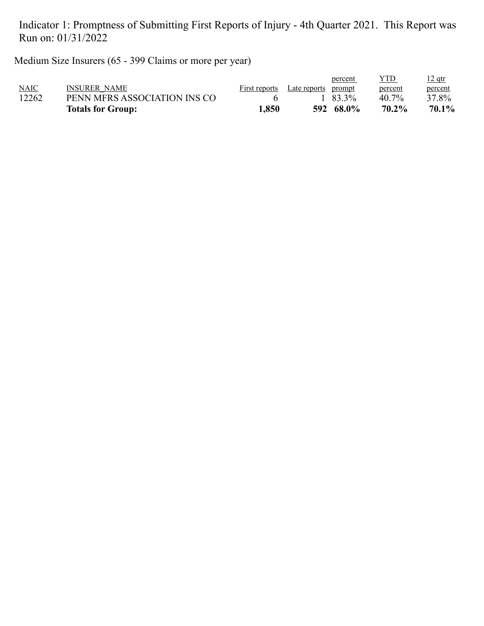Medium Size Insurers (65 - 399 Claims or more per year)

|             | <b>Totals for Group:</b>     | 1,850         |              | 592 68.0% | 70.2%   | 70.1%    |
|-------------|------------------------------|---------------|--------------|-----------|---------|----------|
| 12262       | PENN MFRS ASSOCIATION INS CO |               |              | 83.3%     | 40.7%   | 37.8%    |
| <b>NAIC</b> | <b>INSURER NAME</b>          | First reports | Late reports | prompt    | percent | percent  |
|             |                              |               |              | percent   | YTD     | $12$ qtr |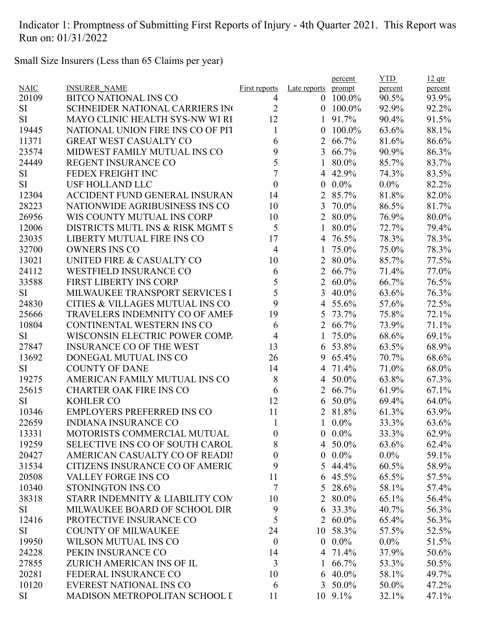Small Size Insurers (Less than 65 Claims per year)

|           |                                            |                      |                | percent         | <b>YTD</b> | $12$ qtr |
|-----------|--------------------------------------------|----------------------|----------------|-----------------|------------|----------|
| NAIC      | <b>INSURER NAME</b>                        | <b>First reports</b> | Late reports   | prompt          | percent    | percent  |
| 20109     | <b>BITCO NATIONAL INS CO</b>               | 4                    | $\overline{0}$ | 100.0%          | 90.5%      | 93.9%    |
| SI        | <b>SCHNEIDER NATIONAL CARRIERS IN</b>      | $\overline{2}$       | $\theta$       | 100.0%          | 92.9%      | 92.2%    |
| <b>SI</b> | MAYO CLINIC HEALTH SYS-NW WI RI            | 12                   |                | 91.7%           | 90.4%      | 91.5%    |
| 19445     | NATIONAL UNION FIRE INS CO OF PIT          | 1                    | 0              | 100.0%          | 63.6%      | 88.1%    |
| 11371     | <b>GREAT WEST CASUALTY CO</b>              | 6                    | $\overline{2}$ | 66.7%           | 81.6%      | 86.6%    |
| 23574     | MIDWEST FAMILY MUTUAL INS CO               | 9                    | 3              | 66.7%           | 90.9%      | 86.3%    |
| 24449     | <b>REGENT INSURANCE CO</b>                 | 5                    |                | 80.0%           | 85.7%      | 83.7%    |
| <b>SI</b> | FEDEX FREIGHT INC                          | 7                    | 4              | 42.9%           | 74.3%      | 83.5%    |
| <b>SI</b> | <b>USF HOLLAND LLC</b>                     | $\boldsymbol{0}$     | $\theta$       | $0.0\%$         | $0.0\%$    | 82.2%    |
| 12304     | <b>ACCIDENT FUND GENERAL INSURAN</b>       | 14                   | $\overline{2}$ | 85.7%           | 81.8%      | 82.0%    |
| 28223     | NATIONWIDE AGRIBUSINESS INS CO             | 10                   | 3              | 70.0%           | 86.5%      | 81.7%    |
| 26956     | WIS COUNTY MUTUAL INS CORP                 | 10                   | $\overline{2}$ | 80.0%           | 76.9%      | 80.0%    |
| 12006     | DISTRICTS MUTL INS & RISK MGMT S           | 5                    | 1              | 80.0%           | 72.7%      | 79.4%    |
| 23035     | LIBERTY MUTUAL FIRE INS CO                 | 17                   | 4              | 76.5%           | 78.3%      | 78.3%    |
| 32700     | <b>OWNERS INS CO</b>                       | $\overline{4}$       | 1              | 75.0%           | 75.0%      | 78.3%    |
| 13021     | UNITED FIRE & CASUALTY CO                  | 10                   | $\overline{2}$ | 80.0%           | 85.7%      | 77.5%    |
| 24112     | <b>WESTFIELD INSURANCE CO</b>              | 6                    | $\overline{2}$ | 66.7%           | 71.4%      | 77.0%    |
| 33588     | <b>FIRST LIBERTY INS CORP</b>              | 5                    |                | 2 60.0%         | 66.7%      | 76.5%    |
| <b>SI</b> | MILWAUKEE TRANSPORT SERVICES I             | 5                    | $\overline{3}$ | 40.0%           | 63.6%      | 76.3%    |
| 24830     | <b>CITIES &amp; VILLAGES MUTUAL INS CO</b> | 9                    | 4              | 55.6%           | 57.6%      | 72.5%    |
| 25666     | TRAVELERS INDEMNITY CO OF AMEF             | 19                   | 5              | 73.7%           | 75.8%      | 72.1%    |
| 10804     | CONTINENTAL WESTERN INS CO                 | 6                    | $\overline{2}$ | 66.7%           | 73.9%      | 71.1%    |
| <b>SI</b> | WISCONSIN ELECTRIC POWER COMP.             | $\overline{4}$       | 1              | 75.0%           | 68.6%      | 69.1%    |
| 27847     | <b>INSURANCE CO OF THE WEST</b>            | 13                   | 6              | 53.8%           | 63.5%      | 68.9%    |
| 13692     | DONEGAL MUTUAL INS CO                      | 26                   | 9              | 65.4%           | 70.7%      | 68.6%    |
| <b>SI</b> | <b>COUNTY OF DANE</b>                      | 14                   | 4              | 71.4%           | 71.0%      | 68.0%    |
| 19275     | AMERICAN FAMILY MUTUAL INS CO              | 8                    | $\overline{4}$ | 50.0%           | 63.8%      | 67.3%    |
| 25615     | <b>CHARTER OAK FIRE INS CO</b>             | 6                    | $\overline{2}$ | 66.7%           | 61.9%      | 67.1%    |
| <b>SI</b> | <b>KOHLER CO</b>                           | 12                   | 6              | 50.0%           | 69.4%      | 64.0%    |
| 10346     | <b>EMPLOYERS PREFERRED INS CO</b>          | 11                   |                | 2 81.8%         | 61.3%      | 63.9%    |
| 22659     | <b>INDIANA INSURANCE CO</b>                | 1                    |                | $1\ 0.0\%$      | 33.3%      | 63.6%    |
| 13331     | MOTORISTS COMMERCIAL MUTUAL                | $\boldsymbol{0}$     |                | $0.0\%$         | 33.3%      | 62.9%    |
| 19259     | SELECTIVE INS CO OF SOUTH CAROL            | 8                    |                | 4 50.0%         | 63.6%      | 62.4%    |
| 20427     | AMERICAN CASUALTY CO OF READIT             | $\boldsymbol{0}$     |                | $0.0\%$         | $0.0\%$    | 59.1%    |
| 31534     | CITIZENS INSURANCE CO OF AMERIC            | 9                    | 5              | 44.4%           | 60.5%      | 58.9%    |
| 20508     | VALLEY FORGE INS CO                        | 11                   |                | 6 45.5%         | 65.5%      | 57.5%    |
| 10340     | STONINGTON INS CO                          | $\tau$               |                | 5 28.6%         | 58.1%      | 57.4%    |
|           |                                            |                      |                |                 |            |          |
| 38318     | STARR INDEMNITY & LIABILITY COM            | 10                   |                | 2 80.0%         | 65.1%      | 56.4%    |
| SI        | MILWAUKEE BOARD OF SCHOOL DIR              | 9                    | 6              | 33.3%           | 40.7%      | 56.3%    |
| 12416     | PROTECTIVE INSURANCE CO                    | 5                    |                | 2 60.0%         | 65.4%      | 56.3%    |
| SI        | <b>COUNTY OF MILWAUKEE</b>                 | 24                   |                | 10 58.3%        | 57.5%      | 52.5%    |
| 19950     | <b>WILSON MUTUAL INS CO</b>                | $\boldsymbol{0}$     |                | $0.0\%$         | $0.0\%$    | 51.5%    |
| 24228     | PEKIN INSURANCE CO                         | 14                   |                | 4 71.4%         | 37.9%      | 50.6%    |
| 27855     | ZURICH AMERICAN INS OF IL                  | 3                    |                | 1 $66.7\%$      | 53.3%      | 50.5%    |
| 20281     | FEDERAL INSURANCE CO                       | 10                   |                | $6\quad 40.0\%$ | 58.1%      | 49.7%    |
| 10120     | <b>EVEREST NATIONAL INS CO</b>             | 6                    | $\mathfrak{Z}$ | 50.0%           | 50.0%      | 47.2%    |
| SI        | MADISON METROPOLITAN SCHOOL I              | 11                   |                | $10\,9.1\%$     | 32.1%      | 47.1%    |